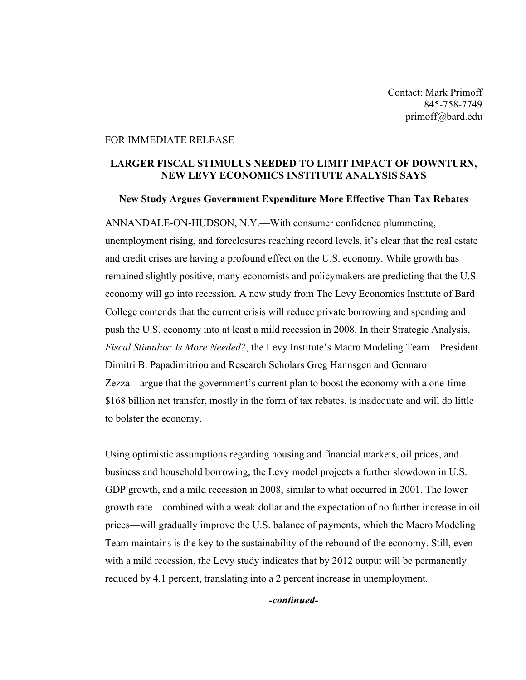Contact: Mark Primoff 845-758-7749 primoff@bard.edu

## FOR IMMEDIATE RELEASE

## LARGER FISCAL STIMULUS NEEDED TO LIMIT IMPACT OF DOWNTURN, NEW LEVY ECONOMICS INSTITUTE ANALYSIS SAYS

## New Study Argues Government Expenditure More Effective Than Tax Rebates

ANNANDALE-ON-HUDSON, N.Y.—With consumer confidence plummeting, unemployment rising, and foreclosures reaching record levels, it's clear that the real estate and credit crises are having a profound effect on the U.S. economy. While growth has remained slightly positive, many economists and policymakers are predicting that the U.S. economy will go into recession. A new study from The Levy Economics Institute of Bard College contends that the current crisis will reduce private borrowing and spending and push the U.S. economy into at least a mild recession in 2008. In their Strategic Analysis, *Fiscal Stimulus: Is More Needed?*, the Levy Institute's Macro Modeling Team—President Dimitri B. Papadimitriou and Research Scholars Greg Hannsgen and Gennaro Zezza—argue that the government's current plan to boost the economy with a one-time \$168 billion net transfer, mostly in the form of tax rebates, is inadequate and will do little to bolster the economy.

Using optimistic assumptions regarding housing and financial markets, oil prices, and business and household borrowing, the Levy model projects a further slowdown in U.S. GDP growth, and a mild recession in 2008, similar to what occurred in 2001. The lower growth rate—combined with a weak dollar and the expectation of no further increase in oil prices—will gradually improve the U.S. balance of payments, which the Macro Modeling Team maintains is the key to the sustainability of the rebound of the economy. Still, even with a mild recession, the Levy study indicates that by 2012 output will be permanently reduced by 4.1 percent, translating into a 2 percent increase in unemployment.

*-continued-*